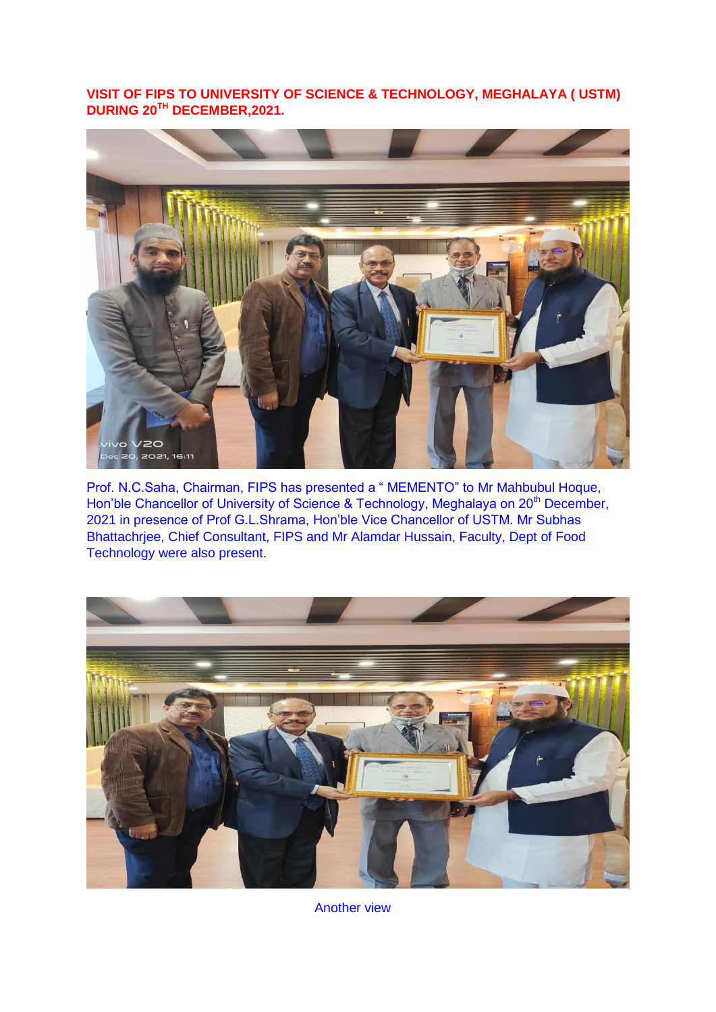**VISIT OF FIPS TO UNIVERSITY OF SCIENCE & TECHNOLOGY, MEGHALAYA ( USTM) DURING 20TH DECEMBER,2021.**



Prof. N.C.Saha, Chairman, FIPS has presented a " MEMENTO" to Mr Mahbubul Hoque, Hon'ble Chancellor of University of Science & Technology, Meghalaya on 20<sup>th</sup> December, 2021 in presence of Prof G.L.Shrama, Hon"ble Vice Chancellor of USTM. Mr Subhas Bhattachrjee, Chief Consultant, FIPS and Mr Alamdar Hussain, Faculty, Dept of Food Technology were also present.



Another view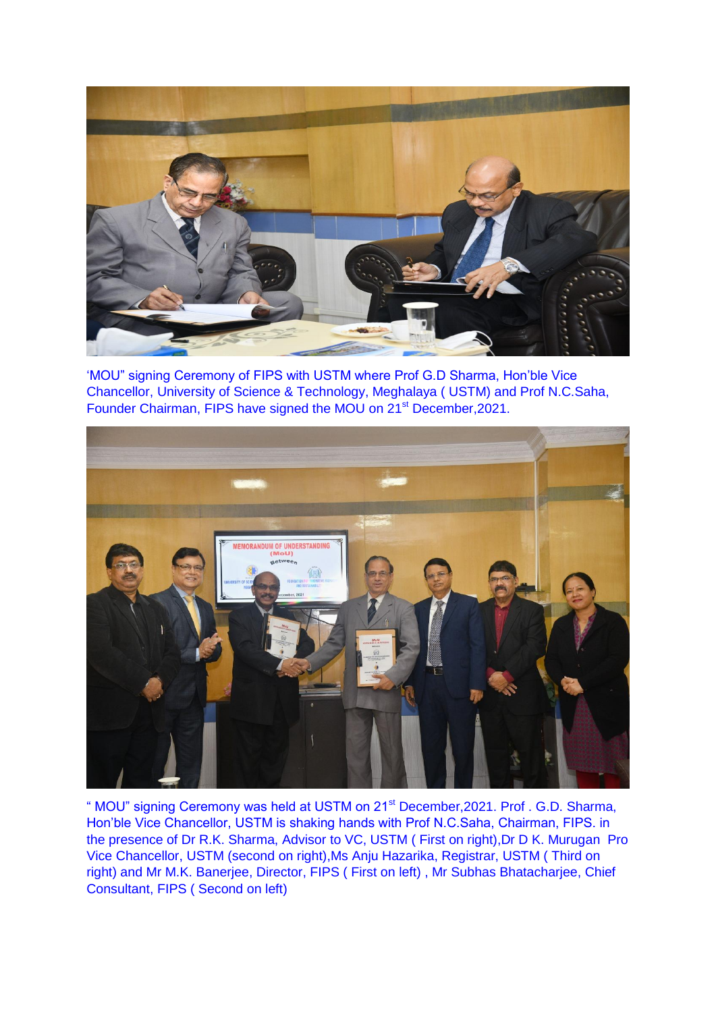

"MOU" signing Ceremony of FIPS with USTM where Prof G.D Sharma, Hon"ble Vice Chancellor, University of Science & Technology, Meghalaya ( USTM) and Prof N.C.Saha, Founder Chairman, FIPS have signed the MOU on 21<sup>st</sup> December, 2021.



" MOU" signing Ceremony was held at USTM on 21st December,2021. Prof . G.D. Sharma, Hon"ble Vice Chancellor, USTM is shaking hands with Prof N.C.Saha, Chairman, FIPS. in the presence of Dr R.K. Sharma, Advisor to VC, USTM ( First on right),Dr D K. Murugan Pro Vice Chancellor, USTM (second on right),Ms Anju Hazarika, Registrar, USTM ( Third on right) and Mr M.K. Banerjee, Director, FIPS ( First on left) , Mr Subhas Bhatacharjee, Chief Consultant, FIPS ( Second on left)